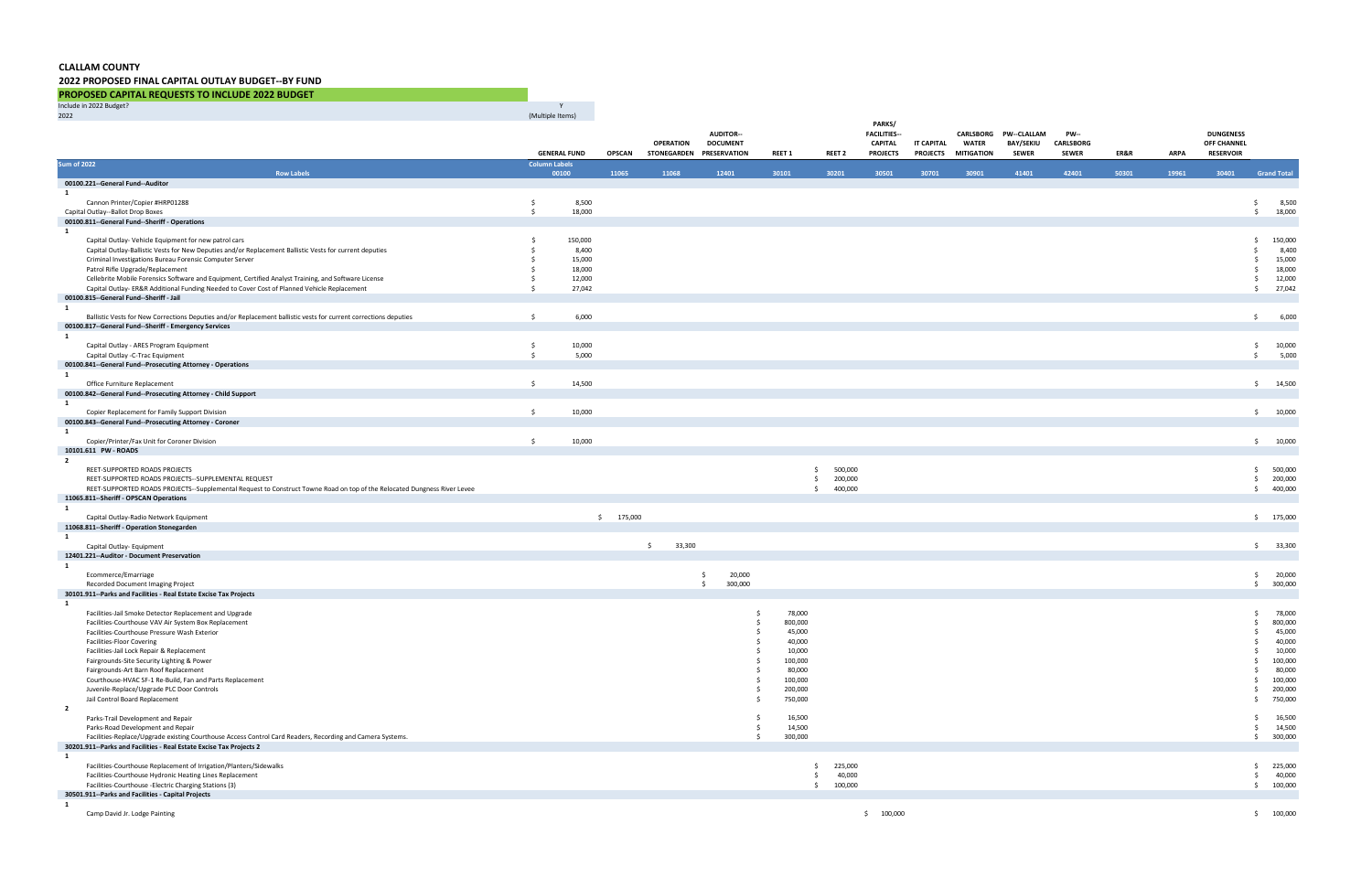## **CLALLAM COUNTY**

## **2022 PROPOSED FINAL CAPITAL OUTLAY BUDGET--BY FUND**

**PROPOSED CAPITAL REQUESTS TO INCLUDE 2022 BUDGET**

| Include in 2022 Budget?                                                                                                          |                      |                     |               |                                              |                  |                  |               |                               |                               |                                   |                                  |                                  |       |             |                                 |                                |
|----------------------------------------------------------------------------------------------------------------------------------|----------------------|---------------------|---------------|----------------------------------------------|------------------|------------------|---------------|-------------------------------|-------------------------------|-----------------------------------|----------------------------------|----------------------------------|-------|-------------|---------------------------------|--------------------------------|
| 2022                                                                                                                             | (Multiple Items)     |                     |               |                                              | <b>AUDITOR--</b> |                  |               | PARKS/<br><b>FACILITIES--</b> |                               |                                   | CARLSBORG PW--CLALLAM            | <b>PW--</b>                      |       |             | <b>DUNGENESS</b>                |                                |
|                                                                                                                                  |                      | <b>GENERAL FUND</b> | <b>OPSCAN</b> | <b>OPERATION</b><br>STONEGARDEN PRESERVATION | <b>DOCUMENT</b>  | <b>REET 1</b>    | <b>REET 2</b> | CAPITAL<br><b>PROJECTS</b>    | IT CAPITAL<br><b>PROJECTS</b> | <b>WATER</b><br><b>MITIGATION</b> | <b>BAY/SEKIU</b><br><b>SEWER</b> | <b>CARLSBORG</b><br><b>SEWER</b> | ER&R  | <b>ARPA</b> | OFF CHANNEL<br><b>RESERVOIR</b> |                                |
| <b>Sum of 2022</b>                                                                                                               | <b>Column Labels</b> |                     |               |                                              |                  |                  |               |                               |                               |                                   |                                  |                                  |       |             |                                 |                                |
| <b>Row Labels</b><br>00100.221 -- General Fund -- Auditor                                                                        |                      | 00100               | 11065         | 11068                                        | 12401            | 30101            | 30201         | 30501                         | 30701                         | 30901                             | 41401                            | 42401                            | 50301 | 19961       | 30401                           | <b>Grand Total</b>             |
| $\mathbf{1}$                                                                                                                     |                      |                     |               |                                              |                  |                  |               |                               |                               |                                   |                                  |                                  |       |             |                                 |                                |
| Cannon Printer/Copier #HRP01288                                                                                                  | \$                   | 8,500               |               |                                              |                  |                  |               |                               |                               |                                   |                                  |                                  |       |             |                                 | 8,500<br>\$                    |
| Capital Outlay--Ballot Drop Boxes<br>00100.811--General Fund--Sheriff - Operations                                               | $\mathsf{S}$         | 18,000              |               |                                              |                  |                  |               |                               |                               |                                   |                                  |                                  |       |             |                                 | 18,000<br>$\ddot{\mathsf{S}}$  |
| 1                                                                                                                                |                      |                     |               |                                              |                  |                  |               |                               |                               |                                   |                                  |                                  |       |             |                                 |                                |
| Capital Outlay- Vehicle Equipment for new patrol cars                                                                            | - \$                 | 150,000             |               |                                              |                  |                  |               |                               |                               |                                   |                                  |                                  |       |             |                                 | 150,000<br>$\ddot{\mathsf{S}}$ |
| Capital Outlay-Ballistic Vests for New Deputies and/or Replacement Ballistic Vests for current deputies                          |                      | 8,400               |               |                                              |                  |                  |               |                               |                               |                                   |                                  |                                  |       |             |                                 | 8,400<br>-Ś                    |
| Criminal Investigations Bureau Forensic Computer Server<br>Patrol Rifle Upgrade/Replacement                                      |                      | 15,000<br>18,000    |               |                                              |                  |                  |               |                               |                               |                                   |                                  |                                  |       |             |                                 | 15,000<br>\$<br>18,000<br>\$   |
| Cellebrite Mobile Forensics Software and Equipment, Certified Analyst Training, and Software License                             | - \$                 | 12,000              |               |                                              |                  |                  |               |                               |                               |                                   |                                  |                                  |       |             |                                 | 12,000<br>\$                   |
| Capital Outlay- ER&R Additional Funding Needed to Cover Cost of Planned Vehicle Replacement                                      | - Ś                  | 27,042              |               |                                              |                  |                  |               |                               |                               |                                   |                                  |                                  |       |             |                                 | 27,042<br>\$                   |
| 00100.815--General Fund--Sheriff - Jail                                                                                          |                      |                     |               |                                              |                  |                  |               |                               |                               |                                   |                                  |                                  |       |             |                                 |                                |
| $\mathbf{1}$<br>Ballistic Vests for New Corrections Deputies and/or Replacement ballistic vests for current corrections deputies | $\frac{1}{2}$        | 6,000               |               |                                              |                  |                  |               |                               |                               |                                   |                                  |                                  |       |             |                                 | 6,000<br>$\frac{1}{2}$         |
| 00100.817--General Fund--Sheriff - Emergency Services                                                                            |                      |                     |               |                                              |                  |                  |               |                               |                               |                                   |                                  |                                  |       |             |                                 |                                |
| 1                                                                                                                                |                      |                     |               |                                              |                  |                  |               |                               |                               |                                   |                                  |                                  |       |             |                                 |                                |
| Capital Outlay - ARES Program Equipment                                                                                          | \$                   | 10,000              |               |                                              |                  |                  |               |                               |                               |                                   |                                  |                                  |       |             |                                 | 10,000<br>\$                   |
| Capital Outlay -C-Trac Equipment<br>00100.841--General Fund--Prosecuting Attorney - Operations                                   | $\mathsf{S}$         | 5,000               |               |                                              |                  |                  |               |                               |                               |                                   |                                  |                                  |       |             |                                 | 5,000<br>\$                    |
| $\mathbf{1}$                                                                                                                     |                      |                     |               |                                              |                  |                  |               |                               |                               |                                   |                                  |                                  |       |             |                                 |                                |
| Office Furniture Replacement                                                                                                     | \$                   | 14,500              |               |                                              |                  |                  |               |                               |                               |                                   |                                  |                                  |       |             |                                 | \$14,500                       |
| 00100.842--General Fund--Prosecuting Attorney - Child Support                                                                    |                      |                     |               |                                              |                  |                  |               |                               |                               |                                   |                                  |                                  |       |             |                                 |                                |
| $\mathbf{1}$<br>Copier Replacement for Family Support Division                                                                   | \$                   | 10,000              |               |                                              |                  |                  |               |                               |                               |                                   |                                  |                                  |       |             |                                 | \$10,000                       |
| 00100.843--General Fund--Prosecuting Attorney - Coroner                                                                          |                      |                     |               |                                              |                  |                  |               |                               |                               |                                   |                                  |                                  |       |             |                                 |                                |
| 1                                                                                                                                |                      |                     |               |                                              |                  |                  |               |                               |                               |                                   |                                  |                                  |       |             |                                 |                                |
| Copier/Printer/Fax Unit for Coroner Division                                                                                     | $\ddot{s}$           | 10,000              |               |                                              |                  |                  |               |                               |                               |                                   |                                  |                                  |       |             |                                 | 10,000<br>$\ddot{\mathsf{S}}$  |
| 10101.611 PW - ROADS<br>$\overline{2}$                                                                                           |                      |                     |               |                                              |                  |                  |               |                               |                               |                                   |                                  |                                  |       |             |                                 |                                |
| REET-SUPPORTED ROADS PROJECTS                                                                                                    |                      |                     |               |                                              |                  |                  | 500,000<br>Ŝ. |                               |                               |                                   |                                  |                                  |       |             |                                 | \$ 500,000                     |
| REET-SUPPORTED ROADS PROJECTS--SUPPLEMENTAL REQUEST                                                                              |                      |                     |               |                                              |                  |                  | 200,000<br>S. |                               |                               |                                   |                                  |                                  |       |             |                                 | 200,000<br>\$                  |
| REET-SUPPORTED ROADS PROJECTS--Supplemental Request to Construct Towne Road on top of the Relocated Dungness River Levee         |                      |                     |               |                                              |                  |                  | \$<br>400,000 |                               |                               |                                   |                                  |                                  |       |             |                                 | \$400,000                      |
| 11065.811--Sheriff - OPSCAN Operations<br>1                                                                                      |                      |                     |               |                                              |                  |                  |               |                               |                               |                                   |                                  |                                  |       |             |                                 |                                |
| Capital Outlay-Radio Network Equipment                                                                                           |                      |                     | \$175,000     |                                              |                  |                  |               |                               |                               |                                   |                                  |                                  |       |             |                                 | \$175,000                      |
| 11068.811--Sheriff - Operation Stonegarden                                                                                       |                      |                     |               |                                              |                  |                  |               |                               |                               |                                   |                                  |                                  |       |             |                                 |                                |
| $\mathbf{1}$                                                                                                                     |                      |                     |               |                                              |                  |                  |               |                               |                               |                                   |                                  |                                  |       |             |                                 |                                |
| Capital Outlay- Equipment<br>12401.221--Auditor - Document Preservation                                                          |                      |                     |               | 33,300<br>$\mathsf{S}$                       |                  |                  |               |                               |                               |                                   |                                  |                                  |       |             |                                 | \$33,300                       |
| $\mathbf{1}$                                                                                                                     |                      |                     |               |                                              |                  |                  |               |                               |                               |                                   |                                  |                                  |       |             |                                 |                                |
| Ecommerce/Emarriage                                                                                                              |                      |                     |               |                                              | 20,000<br>S.     |                  |               |                               |                               |                                   |                                  |                                  |       |             |                                 | 20,000<br>\$                   |
| Recorded Document Imaging Project<br>30101.911--Parks and Facilities - Real Estate Excise Tax Projects                           |                      |                     |               |                                              | 300,000<br>\$    |                  |               |                               |                               |                                   |                                  |                                  |       |             |                                 | \$300,000                      |
| 1                                                                                                                                |                      |                     |               |                                              |                  |                  |               |                               |                               |                                   |                                  |                                  |       |             |                                 |                                |
| Facilities-Jail Smoke Detector Replacement and Upgrade                                                                           |                      |                     |               |                                              | Ŝ.               | 78,000           |               |                               |                               |                                   |                                  |                                  |       |             |                                 | 78,000<br>\$                   |
| Facilities-Courthouse VAV Air System Box Replacement                                                                             |                      |                     |               |                                              |                  | 800,000          |               |                               |                               |                                   |                                  |                                  |       |             |                                 | 800,000<br>Ŝ.                  |
| Facilities-Courthouse Pressure Wash Exterior                                                                                     |                      |                     |               |                                              |                  | 45,000           |               |                               |                               |                                   |                                  |                                  |       |             |                                 | 45,000                         |
| <b>Facilities-Floor Covering</b>                                                                                                 |                      |                     |               |                                              |                  | 40,000<br>10,000 |               |                               |                               |                                   |                                  |                                  |       |             |                                 | 40,000<br>.s<br>10,000         |
| Facilities-Jail Lock Repair & Replacement<br>Fairgrounds-Site Security Lighting & Power                                          |                      |                     |               |                                              |                  | 100,000          |               |                               |                               |                                   |                                  |                                  |       |             |                                 | 100,000<br>S.                  |
| Fairgrounds-Art Barn Roof Replacement                                                                                            |                      |                     |               |                                              |                  | 80,000           |               |                               |                               |                                   |                                  |                                  |       |             |                                 | 80,000<br>.s                   |
| Courthouse-HVAC SF-1 Re-Build, Fan and Parts Replacement                                                                         |                      |                     |               |                                              |                  | 100,000          |               |                               |                               |                                   |                                  |                                  |       |             |                                 | 100,000<br>S                   |
| Juvenile-Replace/Upgrade PLC Door Controls                                                                                       |                      |                     |               |                                              |                  | 200,000          |               |                               |                               |                                   |                                  |                                  |       |             |                                 | 200,000<br>.s                  |
| Jail Control Board Replacement                                                                                                   |                      |                     |               |                                              |                  | 750,000          |               |                               |                               |                                   |                                  |                                  |       |             |                                 | 750,000<br>Ŝ.                  |
| $\overline{\mathbf{2}}$<br>Parks-Trail Development and Repair                                                                    |                      |                     |               |                                              |                  | 16,500           |               |                               |                               |                                   |                                  |                                  |       |             |                                 | 16,500<br>\$                   |
| Parks-Road Development and Repair                                                                                                |                      |                     |               |                                              | Ŝ.               | 14,500           |               |                               |                               |                                   |                                  |                                  |       |             |                                 | 14,500<br>\$                   |
| Facilities-Replace/Upgrade existing Courthouse Access Control Card Readers, Recording and Camera Systems.                        |                      |                     |               |                                              | Ŝ.               | 300,000          |               |                               |                               |                                   |                                  |                                  |       |             |                                 | \$300,000                      |
| 30201.911--Parks and Facilities - Real Estate Excise Tax Projects 2                                                              |                      |                     |               |                                              |                  |                  |               |                               |                               |                                   |                                  |                                  |       |             |                                 |                                |
| 1<br>Facilities-Courthouse Replacement of Irrigation/Planters/Sidewalks                                                          |                      |                     |               |                                              |                  |                  | 225,000<br>Ŝ. |                               |                               |                                   |                                  |                                  |       |             |                                 | \$225,000                      |
| Facilities-Courthouse Hydronic Heating Lines Replacement                                                                         |                      |                     |               |                                              |                  |                  | Ŝ.<br>40,000  |                               |                               |                                   |                                  |                                  |       |             |                                 | 40,000<br>\$                   |
| Facilities-Courthouse -Electric Charging Stations (3)                                                                            |                      |                     |               |                                              |                  |                  | 100,000<br>\$ |                               |                               |                                   |                                  |                                  |       |             |                                 | \$100,000                      |
| 30501.911--Parks and Facilities - Capital Projects                                                                               |                      |                     |               |                                              |                  |                  |               |                               |                               |                                   |                                  |                                  |       |             |                                 |                                |
| 1                                                                                                                                |                      |                     |               |                                              |                  |                  |               | \$100,000                     |                               |                                   |                                  |                                  |       |             |                                 | \$100,000                      |
| Camp David Jr. Lodge Painting                                                                                                    |                      |                     |               |                                              |                  |                  |               |                               |                               |                                   |                                  |                                  |       |             |                                 |                                |